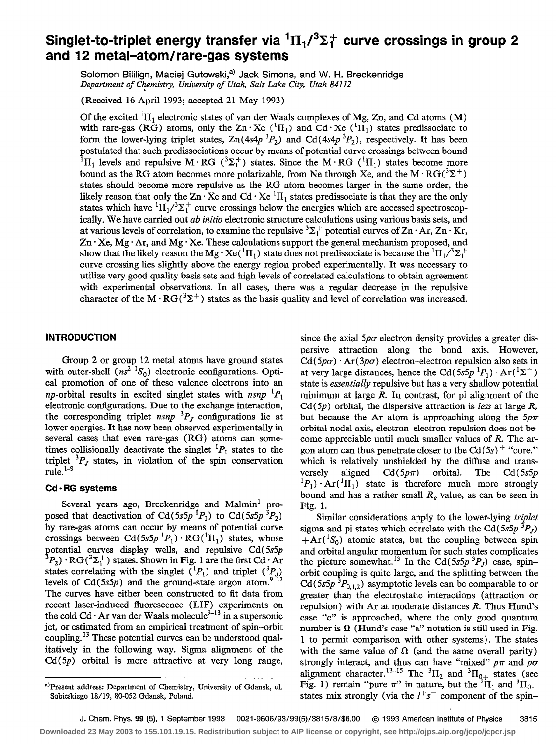# Singlet-to-triplet energy transfer via  ${}^{1}H_{1}/{}^{3}\Sigma_{1}^{+}$  curve crossings in group 2 and 12 metal-atom/rare-gas systems

Solomon Bililign, Maciej Gutowski,<sup>a)</sup> Jack Simons, and W. H. Breckenridge Department of Chemistry, University of Utah, Salt Lake City, Utah 84112

(Received 16 April 1993; accepted 21 May 1993)

Of the excited  ${}^{1}\Pi_{1}$  electronic states of van der Waals complexes of Mg, Zn, and Cd atoms (M) with rare-gas (RG) atoms, only the Zn  $\cdot$  Xe ( ${}^{1}\Pi_{1}$ ) and Cd $\cdot$  Xe ( ${}^{1}\Pi_{1}$ ) states predissociate to form the lower-lying triplet states,  $Zn(4s4p^{3}P_{2})$  and  $Cd(4s4p^{3}P_{2})$ , respectively. It has been postulated that such predissociations occur by means of potential curve crossings between bound  ${}^{1}\Pi_{1}$  levels and repulsive M · RG ( ${}^{3}\Sigma_{1}^{+}$ ) states. Since the M · RG ( ${}^{1}\Pi_{1}$ ) states become more bound as the RG atom becomes more polarizable, from Ne through Xe, and the M $\cdot$ RG( ${}^{3}\Sigma^{+}$ ) states should become more repulsive as the RG atom becomes larger in the same order, the likely reason that only the Zn  $\cdot$  Xe and Cd  $\cdot$  Xe  $\cdot$  II<sub>1</sub> states predissociate is that they are the only states which have  ${}^{1}\Pi_{1}/{}^{3}\Sigma_{1}^{+}$  curve crossings below the energies which are accessed spectroscopically. We have carried out *ab initio* electronic structure calculations using various basis sets, and at various levels of correlation, to examine the repulsive  ${}^{3}\Sigma_{1}^{+}$  potential curves of Zn  $\cdot$  Ar, Zn  $\cdot$  Kr,  $Zn \cdot Xe$ , Mg $\cdot$  Ar, and Mg $\cdot$  Xe. These calculations support the general mechanism proposed, and show that the likely reason the Mg  $\cdot$  Xe( $\cdot$ II<sub>1</sub>) state does not predissociate is because the  $\cdot$ II<sub>1</sub>/ $\cdot$ <sub>2</sub><sup>+</sup> curve crossing lies slightly above the energy region probed experimentally. It was necessary to utilize very good quality basis sets and high levels of correlated calculations to obtain agreement with experimental observations. In all cases, there was a regular decrease in the repulsive character of the M  $\cdot$  RG( ${}^{3}\Sigma^{+}$ ) states as the basis quality and level of correlation was increased.

# INTRODUCTION

Group 2 or group 12 metal atoms have ground states with outer-shell  $(ns^2<sup>1</sup>S<sub>0</sub>)$  electronic configurations. Optical promotion of one of these valence electrons into an *np*-orbital results in excited singlet states with  $n s n p^{-1} P_1$ electronic configurations. Due to the exchange interaction, the corresponding triplet nsnp  ${}^{3}P_J$  configurations lie at lower energies. It has now been observed experimentally in several cases that even rare-gas (RG) atoms can sometimes collisionally deactivate the singlet  ${}^{1}P_1$  states to the triplet  ${}^{3}P_J$  states, in violation of the spin conservation  $rule.$ <sup>1-9</sup>

# Cd - RG systems

Several years ago, Breckenridge and Malmin' proposed that deactivation of Cd(5s5p  ${}^{1}P_{1}$ ) to Cd(5s5p  ${}^{3}P_{2}$ ) by rare-gas atoms can occur by means of potential curve crossings between  $Cd(5s5p~^1P_1)\cdot RG(^1\Pi_1)$  states, whose potential curves display wells, and repulsive Cd(5s5p  $3P_2) \cdot \text{RG}(3\Sigma_1^+)$  states. Shown in Fig. 1 are the first Cd  $\cdot$  Ar states correlating with the singlet  $({}^{1}P_{1})$  and triplet  $({}^{3}P_{J})$ levels of Cd(5s5p) and the ground-state argon atom.<sup>9-13</sup> The curves have either been constructed to fit data from recent laser-induced fluorescence (LIF) experiments on the cold Cd  $\cdot$  Ar van der Waals molecule<sup>9-13</sup> in a supersonic jet, or estimated from an empirical treatment of spin-orbit coupling.<sup>13</sup> These potential curves can be understood qualitatively in the following way. Sigma alignment of the  $Cd(5p)$  orbital is more attractive at very long range,

since the axial  $5p\sigma$  electron density provides a greater dispersive attraction along the bond axis. However,  $Cd(5p\sigma) \cdot Ar(3p\sigma)$  electron-electron repulsion also sets in at very large distances, hence the Cd( $5s5p$ <sup>1</sup> $P_1$ )  $\cdot$  Ar(<sup>1</sup> $\Sigma$ <sup>+</sup>) state is *essentially* repulsive but has a very shallow potential minimum at large  $R$ . In contrast, for pi alignment of the  $Cd(5p)$  orbital, the dispersive attraction is less at large R, but because the Ar atom is approaching along the  $5p\pi$ orbital nodal axis, electron-electron repulsion does not become appreciable until much smaller values of *. The ar*gon atom can thus penetrate closer to the  $Cd(5s)$ <sup>+</sup> "core," which is relatively unshielded by the diffuse and transversely aligned  $Cd(5p\pi)$  orbital. The Cd(5s5p  ${}^{1}P_{1}$ )  ${}^{1}Ar({}^{1}\Pi_{1})$  state is therefore much more strongly bound and has a rather small  $R<sub>e</sub>$  value, as can be seen in Fig. 1.

Similar considerations apply to the lower-lying triplet sigma and pi states which correlate with the Cd( $5s5p$ <sup>3</sup> $P<sub>J</sub>$ )  $+Ar({}^{1}S_{0})$  atomic states, but the coupling between spin and orbital angular momentum for such states complicates the picture somewhat.<sup>13</sup> In the Cd(5s5p<sup>3</sup>P<sub>J</sub>) case, spinorbit coupling is quite large, and the splitting between the Cd(5s5p<sup>3</sup> $P_{0,1,2}$ ) asymptotic levels can be comparable to or greater than the electrostatic interactions (attraction or repulsion) with Ar at moderate distances *. Thus Hund's* case "c" is approached, where the only good quantum number is  $\Omega$  (Hund's case "a" notation is still used in Fig. 1 to permit comparison with other systems). The states with the same value of  $\Omega$  (and the same overall parity) strongly interact, and thus can have "mixed"  $p\pi$  and  $p\sigma$ alignment character.<sup>13-13</sup> The <sup>3</sup> $\Pi_2$  and <sup>3</sup> $\Pi_{0+}$  states (see Fig. 1) remain "pure  $\pi$ " in nature, but the  ${}^{3}H_{1}$  and  ${}^{3}H_{0-}$ states mix strongly (via the  $l^+s^-$  component of the spin-

a)Present address: Department of Chemistry, University of Gdansk, ul. Sobieskiego 18/19, 80-052 Gdansk, Poland.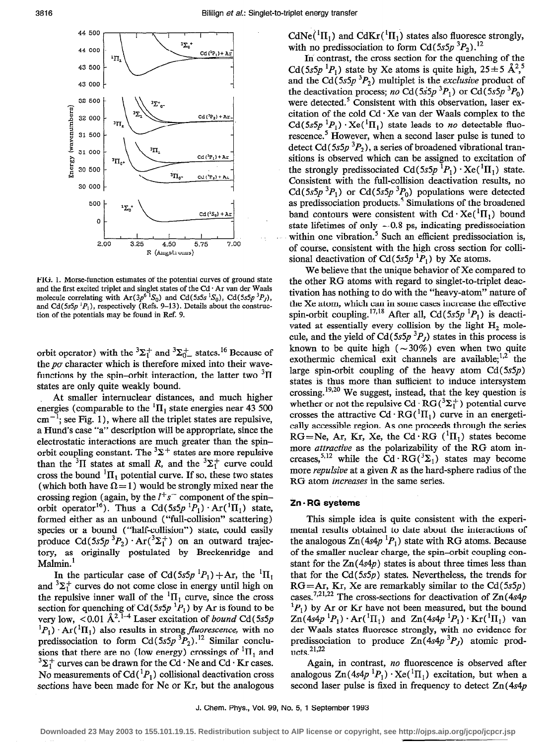

FIG. 1. Morse-function estimates of the potential curves of ground state and the first excited triplet and singlet states of the Cd  $\cdot$  Ar van der Waals molecule correlating with  $Ar(3p^6 S_0)$  and  $Cd(5s5s S_0)$ ,  $Cd(5s5p S_1)$ , and Cd( $5s5p \tcdot P_1$ ), respectively (Refs. 9–13). Details about the construc tion of the potentials may be found in Ref. 9.

orbit operator) with the  ${}^{3}\Sigma_{1}^{+}$  and  ${}^{3}\Sigma_{0}^{+}$  states.<sup>16</sup> Because of the  $p\sigma$  character which is therefore mixed into their wavefunctions by the spin-orbit interaction, the latter two  ${}^{3}$ II states are only quite weakly bound.

At smaller internuclear distances, and much higher energies (comparable to the  ${}^{1}$ H<sub>1</sub> state energies near 43 500  $cm^{-1}$ ; see Fig. 1), where all the triplet states are repulsive, a Hund's case "a" description will be appropriate, since the electrostatic interactions are much greater than the spinorbit coupling constant. The  ${}^{3}\Sigma^{+}$  states are more repulsive than the <sup>3</sup>II states at small R, and the <sup>3</sup> $\Sigma_1^+$  curve could cross the bound  ${}^{1}\Pi_{1}$  potential curve. If so, these two states (which both have  $\Omega = 1$ ) would be strongly mixed near the crossing region (again, by the  $l^+s^-$  component of the spinorbit operator<sup>16</sup>). Thus a Cd( $5s5p^{1}P_{1}$ )  $\cdot$  Ar( $^{1}$ II<sub>1</sub>) state, formed either as an unbound ("full-collision" scattering) species or a bound ("half-collision") state, could easily produce Cd(5s5p<sup>3</sup>P<sub>2</sub>)  $Ar(^3\Sigma_1^+)$  on an outward trajectory, as originally postulated by Breckenridge and Malmin.<sup>1</sup>

In the particular case of Cd(5s5p  ${}^{1}P_{1}$ ) + Ar, the  ${}^{1}$ II<sub>1</sub> and  ${}^{3}\Sigma_{1}^{+}$  curves do not come close in energy until high on the repulsive inner wall of the  ${}^{1}$  $\Pi_1$  curve, since the cross section for quenching of Cd(5s5p  ${}^{1}P_{1}$ ) by Ar is found to be very low,  $\lt 0.01 \text{ Å}^{2.1-4}$  Laser excitation of *bound* Cd(5s5p)  ${}^{1}P_{1}$ )  $\cdot$  Ar( ${}^{1}$ II<sub>1</sub>) also results in strong *fluorescence*, with no predissociation to form Cd(5s5p<sup>3</sup> $P_2$ ).<sup>12</sup> Similar conclusions that there are no (low energy) crossings of  ${}^{1}H_{1}$  and  $3\Sigma_1^+$  curves can be drawn for the Cd  $\cdot$  Ne and Cd  $\cdot$  Kr cases. No measurements of Cd( ${}^{1}P_{1}$ ) collisional deactivation cross sections have been made for Ne or Kr, but the analogous CdNe( ${}^{1}\Pi_{1}$ ) and CdKr( ${}^{1}\Pi_{1}$ ) states also fluoresce strongly, with no predissociation to form Cd( $5s5p^{3}P_{2}$ ).<sup>12</sup>

In contrast, the cross section for the quenching of the Cd(5s5p  ${}^{1}P_{1}$ ) state by Xe atoms is quite high, 25 ± 5 Å<sup>2</sup>,<sup>5</sup> and the Cd( $5s5p$ <sup>3</sup> $P_2$ ) multiplet is the *exclusive* product of the deactivation process; no Cd( $5s5p^{3}P_{1}$ ) or Cd( $5s5p^{3}P_{0}$ ) were detected.<sup>5</sup> Consistent with this observation, laser excitation of the cold  $Cd \cdot Xe$  van der Waals complex to the  $Cd(5s5p<sup>1</sup>P<sub>1</sub>) \cdot Xe<sup>(1</sup>\Pi<sub>1</sub>)$  state leads to no detectable fluorescence.<sup>5</sup> However, when a second laser pulse is tuned to detect Cd (5s5p  ${}^{3}P_{2}$ ), a series of broadened vibrational transitions is observed which can be assigned to excitation of the strongly predissociated  $Cd(5s5p^{1}P_{1}) \cdot Xe({}^{1}\Pi_{1})$  state. Consistent with the full-collision deactivation results, no Cd(5s5p<sup>3</sup>P<sub>1</sub>) or Cd(5s5p<sup>3</sup>P<sub>0</sub>) populations were detected as predissociation products.<sup>5</sup> Simulations of the broadened band contours were consistent with  $Cd \cdot Xe({}^{1}\Pi_{1})$  bound state lifetimes of only  $\sim 0.8$  ps, indicating predissociation within one vibration.<sup>5</sup> Such an efficient predissociation is, of course, consistent with the high cross section for collisional deactivation of Cd(5s5p  ${}^{1}P_{1}$ ) by Xe atoms.

We believe that the unique behavior of Xe compared to the other RG atoms with regard to singlet-to-triplet deactivation has nothing to do with the "heavy-atom" nature of the Xe atom, which can in some cases increase the effective spin-orbit coupling.<sup>17,18</sup> After all, Cd(5s5p<sup>1</sup> $P_1$ ) is deactivated at essentially every collision by the light  $H_2$  molecule, and the yield of Cd( $5s5p$ <sup>3</sup> $P<sub>J</sub>$ ) states in this process is known to be quite high  $(-30\%)$  even when two quite exothermic chemical exit channels are available; $^{1,2}$  the large spin-orbit coupling of the heavy atom  $Cd(5s5p)$ states is thus more than sufficient to induce intersystem crossing.  $19,20$  We suggest, instead, that the key question is whether or not the repulsive Cd  $\cdot$  RG( ${}^{3}\Sigma_{1}^{+}$ ) potential curve crosses the attractive Cd  $\cdot$  RG( $\cdot$ II<sub>1</sub>) curve in an energetically accessible region. As one proceeds through the series RG=Ne, Ar, Kr, Xe, the Cd · RG  $({}^{1}\Pi_{1})$  states become more attractive as the polarizability of the RG atom increases,<sup>5,12</sup> while the Cd·RG( ${}^{3}\Sigma_{1}$ ) states may become more *repulsive* at a given  $R$  as the hard-sphere radius of the RG atom increases in the same series.

# Zn - RG systems

This simple idea is quite consistent with the experimental results obtained to date about the interactions of the analogous  $\text{Zn}(4s4p \,^1P_1)$  state with RG atoms. Because of the smaller nuclear charge, the spin-orbit coupling constant for the  $Zn(4s4p)$  states is about three times less than that for the Cd(5s5p) states. Nevertheless, the trends for  $RG=Ar$ , Kr, Xe are remarkably similar to the  $Cd(5s5p)$ cases.<sup>7,21,22</sup> The cross-sections for deactivation of  $Zn(4s4p)$  ${}^{1}P_{1}$ ) by Ar or Kr have not been measured, but the bound  $\text{Zn}(4s4p \,^1P_1) \cdot \text{Ar}({}^{1}\text{II}_1)$  and  $\text{Zn}(4s4p \,^1P_1) \cdot \text{Kr}({}^{1}\text{II}_1)$  van der Waals states fluoresce strongly, with no evidence for predissociation to produce  $Zn(4s4p^3P_J)$  atomic products.<sup>21,22</sup>

Again, in contrast, no fluorescence is observed after analogous  $\text{Zn}(4s4p^{1}P_{1}) \cdot \text{Xe}(\ ^{1}\Pi_{1})$  excitation, but when a second laser pulse is fixed in frequency to detect  $Zn(4s4p)$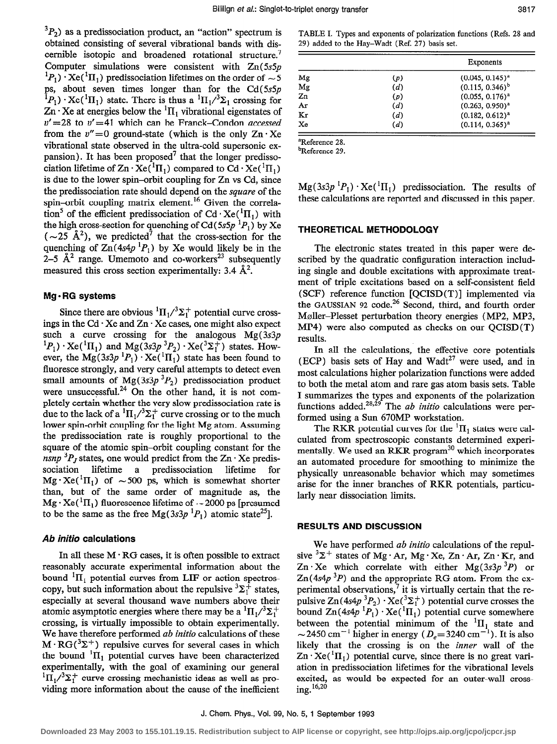${}^{3}P_{2}$ ) as a predissociation product, an "action" spectrum is obtained consisting of several vibrational bands with discernible isotopic and broadened rotational structure.<sup>7</sup> Computer simulations were consistent with  $Zn(5s5p)$  ${}^{1}P_{1}$ )  ${}^{1}Xe({}^{1}H_{1})$  predissociation lifetimes on the order of  $\sim$  5 ps, about seven times longer than for the  $Cd(5s5p)$  ${}^{1}P_{1}$ )  ${}^{1}Xe({}^{1}\Pi_{1})$  state. There is thus a  ${}^{1}H_{1}/{}^{3}\Sigma_{1}$  crossing for  $\mathbb{Z}_n \cdot \mathbb{X}$ e at energies below the  ${}^1\Pi_1$  vibrational eigenstates of  $v' = 28$  to  $v' = 41$  which can be Franck-Condon accessed from the  $v''=0$  ground-state (which is the only  $Zn \cdot Xe$ vibrational state observed in the ultra-cold supersonic expansion). It has been proposed<sup>7</sup> that the longer predissociation lifetime of  $\text{Zn} \cdot \text{Xe}({}^{1}\text{II}_{1})$  compared to  $\text{Cd} \cdot \text{Xe}({}^{1}\text{II}_{1})$ is due to the lower spin-orbit coupling for Zn vs Cd, since the predissociation rate should depend on the square of the spin-orbit coupling matrix element.<sup>16</sup> Given the correlation<sup>5</sup> of the efficient predissociation of Cd  $\cdot$  Xe( ${}^{1}\Pi_{1}$ ) with the high cross-section for quenching of Cd (5s5p  ${}^{1}P_{1}$ ) by Xe  $(-25 \text{ Å}^2)$ , we predicted<sup>7</sup> that the cross-section for the quenching of  $\text{Zn}(4s4p \text{ }^1P_1)$  by Xe would likely be in the 2-5  $\AA^2$  range. Umemoto and co-workers<sup>23</sup> subsequently measured this cross section experimentally: 3.4  $\AA^2$ .

# $Mg \cdot RG$  systems

Since there are obvious  ${}^{1} \Pi_{1}/{}^{3}\Sigma_{1}^{+}$  potential curve crossings in the  $Cd \cdot Xe$  and  $Zn \cdot Xe$  cases, one might also expect such a curve crossing for the analogous  $Mg(3s3p)$  ${}^{1}P_{1}$ )  $\cdot$  Xe( ${}^{1}\Pi_{1}$ ) and Mg(3s3p ${}^{3}P_{2}$ )  $\cdot$  Xe( ${}^{3}\Sigma_{1}^{+}$ ) states. However, the Mg(3s3p  ${}^{1}P_{1}$ )  $\cdot$  Xe( ${}^{1}\Pi_{1}$ ) state has been found to fluoresce strongly, and very careful attempts to detect even small amounts of Mg(3s3p<sup>3</sup> $P_2$ ) predissociation product were unsuccessful.<sup>24</sup> On the other hand, it is not completely certain whether the very slow predissociation rate is due to the lack of a  ${}^{1}\Pi_{1}/{}^{3}\Sigma_{1}^{+}$  curve crossing or to the much lower spin-orbit coupling for the light Mg atom. Assuming the predissociation rate is roughly proportional to the square of the atomic spin-orbit coupling constant for the nsnp  ${}^{3}P_J$  states, one would predict from the Zn  $\cdot$  Xe predissociation lifetime a predissociation lifetime  $Mg \cdot Xe^{i} \Pi_1$  of  $\sim 500$  ps, which is somewhat shorter than, but of the same order of magnitude as, the  $Mg \cdot Xe^{T} \Pi_1$  fluorescence lifetime of  $\sim$  2000 ps [presumed] to be the same as the free Mg(3s3p  ${}^{1}P_{1}$ ) atomic state<sup>25</sup>].

### Ab inifio calculations

In all these  $M \cdot RG$  cases, it is often possible to extract reasonably accurate experimental information about the bound  ${}^{1}\Pi_{1}$  potential curves from LIF or action spectroscopy, but such information about the repulsive  ${}^{3}\Sigma_{1}^{+}$  states, especially at several thousand wave numbers above their atomic asymptotic energies where there may be a  ${}^{1}\Pi_{1}/{}^{3}\Sigma_{1}^{+}$ crossing, is virtually impossible to obtain experimentally. We have therefore performed ab initio calculations of these  $M \cdot RG(^3\Sigma^+)$  repulsive curves for several cases in which the bound  ${}^{1}$ II<sub>1</sub> potential curves have been characterized experimentally, with the goal of examining our general  ${}^{1}\Pi_{1}/{}^{3}\Sigma_{1}^{+}$  curve crossing mechanistic ideas as well as providing more information about the cause of the inefficient

TABLE I. Types and exponents of polarization functions (Refs. 28 and 29) added to the Hay-Wadt (Ref. 27) basis set.

|     | Exponents            |
|-----|----------------------|
| (p) | $(0.045, 0.145)^{a}$ |
| (d) | $(0.115, 0.346)^{b}$ |
| (p) | $(0.055, 0.176)^{a}$ |
| (d) | $(0.263, 0.950)^a$   |
| (d) | $(0.182, 0.612)^a$   |
| (d) | $(0.114, 0.365)^{a}$ |
|     |                      |

'Reference 28.

bReference 29.

 $Mg(3s3p^{1}P_{1}) \cdot Xe({}^{1}\Pi_{1})$  predissociation. The results of these calculations are reported and discussed in this paper.

# THEORETICAL METHODOLOGY

The electronic states treated in this paper were described by the quadratic configuration interaction including single and double excitations with approximate treatment of triple excitations based on a self-consistent field (SCF) reference function [QCISD(T)] implemented via the GAUSSIAN 92 code.<sup>26</sup> Second, third, and fourth order Moller-Plesset perturbation theory energies (MP2, MP3,  $MP4$ ) were also computed as checks on our  $OCISD(T)$ results.

In all the calculations, the effective core potentials (ECP) basis sets of Hay and Wadt<sup>27</sup> were used, and in most calculations higher polarization functions were added to both the metal atom and rare gas atom basis sets. Table I summarizes the types and exponents of the polarization functions added.<sup>28,29</sup> The *ab initio* calculations were performed using a Sun 670MP workstation.

The RKR potential curves for the  ${}^{1}$ II<sub>1</sub> states were calculated from spectroscopic constants determined experimentally. We used an RKR program<sup>30</sup> which incorporates an automated procedure for smoothing to minimize the physically unreasonable behavior which may sometimes arise for the inner branches of RKR potentials, particularly near dissociation limits.

### RESULTS AND DISCUSSION

We have performed *ab initio* calculations of the repulsive  ${}^{3}\Sigma^{+}$  states of Mg·Ar, Mg·Xe, Zn·Ar, Zn·Kr, and Zn · Xe which correlate with either Mg(3s3p<sup>3</sup>P) or  $Zn(4s4p^3P)$  and the appropriate RG atom. From the experimental observations, $\overline{7}$  it is virtually certain that the repulsive  $Zn(4s4p^3P_2) \cdot Xe({}^3\Sigma_1^+)$  potential curve crosses the bound  $\text{Zn}(4s4p^{1}P_1) \cdot \text{Xe}(^{1}\Pi_1)$  potential curve somewhere between the potential minimum of the  ${}^{1}H_1$  state and  $\sim$  2450 cm<sup>-1</sup> higher in energy ( $D_e$ =3240 cm<sup>-1</sup>). It is also likely that the crossing is on the inner wall of the  $\text{Zn} \cdot \text{Xe}({}^{1}\text{II}_{1})$  potential curve, since there is no great variation in predissociation lifetimes for the vibrational levels excited, as would be expected for an outer-wall crossing. 16,20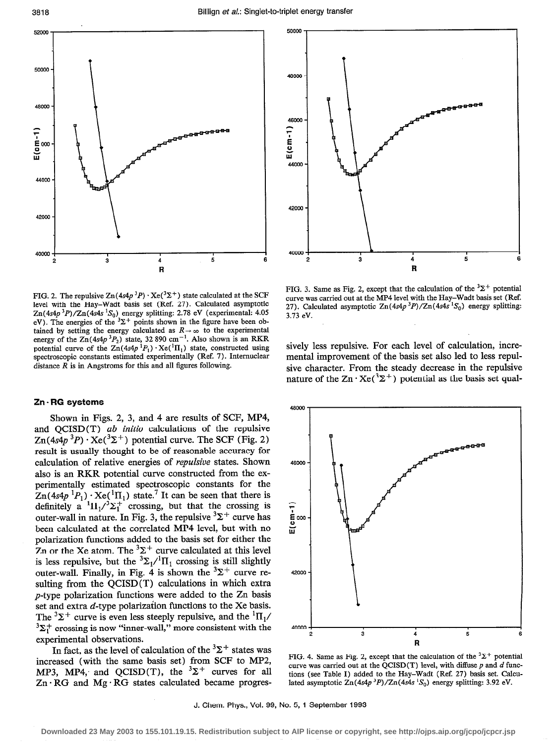

FIG. 2. The repulsive  $\text{Zn}(4s4p^3P) \cdot \text{Xe}(3\Sigma^+)$  state calculated at the SCF level with the Hay-Wadt basis set (Ref. 27). Calculated asymptotic  $Zn(4s4p^3P)/Zn(4s4s^1S_0)$  energy splitting: 2.78 eV (experimental: 4.05 eV). The energies of the  $\Sigma^+$  points shown in the figure have been obtained by setting the energy calculated as  $R \rightarrow \infty$  to the experimental energy of the  $Zn(4s4p^3P_2)$  state, 32 890 cm<sup>-1</sup>. Also shown is an RKR potential curve of the  $Zn(4s4p<sup>1</sup>P<sub>1</sub>) \cdot Xe<sup>(1</sup>\Pi<sub>1</sub>)$  state, constructed using spectroscopic constants estimated experimentally (Ref. 7). Internuclear distance  $\overline{R}$  is in Angstroms for this and all figures following.

#### Zn - RG systems

Shown in Figs. 2, 3, and 4 are results of SCF, MP4, and  $OCISD(T)$  *ab initio* calculations of the repulsive  $\text{Zn}(4s4p^3P) \cdot \text{Xe}(3\Sigma^+)$  potential curve. The SCF (Fig. 2) result is usually thought to be of reasonable accuracy for calculation of relative energies of repulsive states. Shown also is an RKR potential curve constructed from the experimentally estimated spectroscopic constants for the  $Zn(4s4p<sup>1</sup>P<sub>1</sub>) \cdot Xe<sup>(1</sup>\Pi<sub>1</sub>)$  state.<sup>7</sup> It can be seen that there is definitely  $a^{-1}\Pi_1/\sqrt{2} \Sigma_1^+$  crossing, but that the crossing is outer-wall in nature. In Fig. 3, the repulsive  ${}^{3}\Sigma^{+}$  curve has been calculated at the correlated MP4 level, but with no polarization functions added to the basis set for either the Zn or the Xe atom. The  ${}^{3}\Sigma^{+}$  curve calculated at this level is less repulsive, but the  ${}^{3}\Sigma_{1}/{}^{1}\Pi_{1}$  crossing is still slightly outer-wall. Finally, in Fig. 4 is shown the  $3\Sigma^+$  curve resulting from the QCISD(T) calculations in which extra p-type polarization functions were added to the Zn basis set and extra  $d$ -type polarization functions to the Xe basis. The  ${}^{3}\Sigma^{+}$  curve is even less steeply repulsive, and the  ${}^{1}\Pi_{1}/$  $3\Sigma_1^+$  crossing is now "inner-wall," more consistent with the experimental observations.

In fact, as the level of calculation of the  ${}^{3}\Sigma^{+}$  states was increased (with the same basis set) from SCF to MP2, MP3, MP4, and QCISD(T), the  $3\Sigma^+$  curves for all  $Zn \cdot RG$  and  $Mg \cdot RG$  states calculated became progres-



FIG. 3. Same as Fig. 2, except that the calculation of the  $3\Sigma^+$  potential curve was carried out at the MP4 level with the Hay-Wadt basis set (Ref. 27). Calculated asymptotic  $Zn(4s4p^3P)/Zn(4s4s^1S_0)$  energy splitting: 3.73 eV.

sively less repulsive. For each level of calculation, incremental improvement of the basis set also led to less repulsive character. From the steady decrease in the repulsive nature of the  $\text{Zn} \cdot \text{Xe}(3\Sigma^+)$  potential as the basis set qual-



FIG. 4. Same as Fig. 2, except that the calculation of the  ${}^{3}\Sigma^{+}$  potential curve was carried out at the QCISD(T) level, with diffuse  $p$  and  $d$  functions (see Table I) added to the Hay-Wadt (Ref. 27) basis set. Calculated asymptotic  $\text{Zn}(4s4p \text{ }^3P)/\text{Zn}(4s4s \text{ }^1S_0)$  energy splitting: 3.92 eV.

J. Chem. Phys., Vol. 99, No. 5, 1 September 1993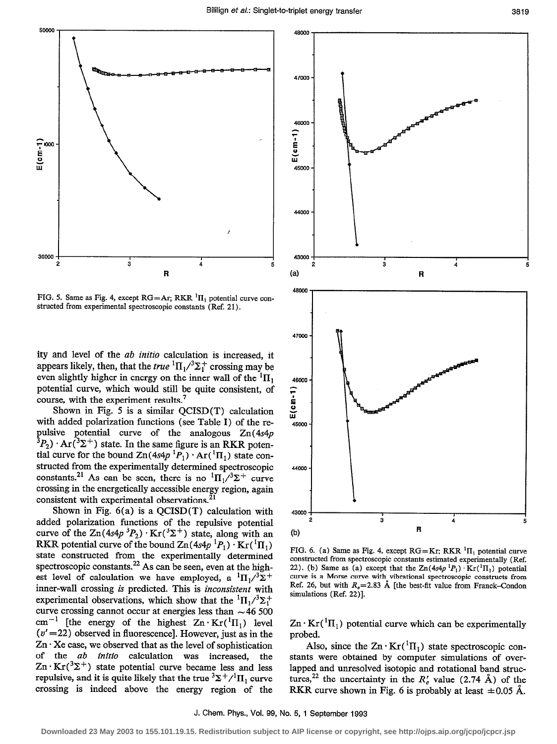

FIG. 5. Same as Fig. 4, except  $RG=Ar$ ; RKR  ${}^{1}\Pi_{1}$  potential curve constructed from experimental spectroscopic constants (Ref. 21).

ity and level of the ab initio calculation is increased, it appears likely, then, that the *true*  ${}^{1}\Pi_{1}/{}^{3}\Sigma_{1}^{+}$  crossing may be even slightly higher in energy on the inner wall of the  ${}^{1}$  $\Pi_1$ potential curve, which would still be quite consistent, of course, with the experiment results.<sup>7</sup>

Shown in Fig. 5 is a similar  $QCISD(T)$  calculation with added polarization functions (see Table I) of the repulsive potential curve of the analogous Zn(4s4p  $^{3}P_{2}) \cdot Ar(^{3}\Sigma^{+})$  state. In the same figure is an RKR potential curve for the bound  $Zn(4s4p^{1}P_1) \cdot Ar(^{1}\Pi_1)$  state constructed from the experimentally determined spectroscopic constants.<sup>21</sup> As can be seen, there is no  ${}^{1} \Pi_{1}/{}^{3}\Sigma^{+}$  curve crossing in the energetically accessible energy region, again consistent with experimental observations.<sup>21</sup>

Shown in Fig.  $6(a)$  is a QCISD(T) calculation with added polarization functions of the repulsive potential curve of the  $\text{Zn}(4s4p^3P_2) \cdot \text{Kr}(3\Sigma^+)$  state, along with an RKR potential curve of the bound  $\text{Zn}(4s4p^{1}P_1)\cdot \text{Kr}(^{1}\Pi_1)$ state constructed from the experimentally determined spectroscopic constants.<sup>22</sup> As can be seen, even at the highest level of calculation we have employed, a  ${}^{1}\Pi_{1}/{}^{3}\Sigma^{+}$ inner-wall crossing is predicted. This is inconsistent with experimental observations, which show that the  ${}^{1}H_{1}/{}^{3}\Sigma_{1}^{+}$ curve crossing cannot occur at energies less than  $\sim$  46 500 cm<sup>-1</sup> [the energy of the highest  $Zn \cdot Kr({}^{1}\Pi_{1})$  level  $(v'=22)$  observed in fluorescence]. However, just as in the  $Zn \cdot Xe$  case, we observed that as the level of sophistication of the *ab initio* calculation was increased, the  $\text{Zn} \cdot \text{Kr}({}^3\Sigma^+)$  state potential curve became less and less repulsive, and it is quite likely that the true  $\frac{3\sum + \ell}{\prod_{i}$  curve crossing is indeed above the energy region of the



FIG. 6. (a) Same as Fig. 4, except  $RG=Kr$ ; RKR  ${}^{1}\Pi_{1}$  potential curve constructed from spectroscopic constants estimated experimentally (Ref. 22). (b) Same as (a) except that the  $Zn(4s4p<sup>1</sup>P<sub>1</sub>) \cdot Kr(^{1}\Pi<sub>1</sub>)$  potential curve is a Morse curve with vibrational spectroscopic constructs from Ref. 26, but with  $R_e = 2.83$  Å [the best-fit value from Franck-Condon simulations (Ref. 22)].

 $\text{Zn} \cdot \text{Kr}({}^{1}\text{II}_{1})$  potential curve which can be experimentally probed.

Also, since the  $Zn \cdot Kr({}^{1}\Pi_{1})$  state spectroscopic constants were obtained by computer simulations of overlapped and unresolved isotopic and rotational band structures,<sup>22</sup> the uncertainty in the  $R'_e$  value (2.74 Å) of the RKR curve shown in Fig. 6 is probably at least  $\pm 0.05$  Å.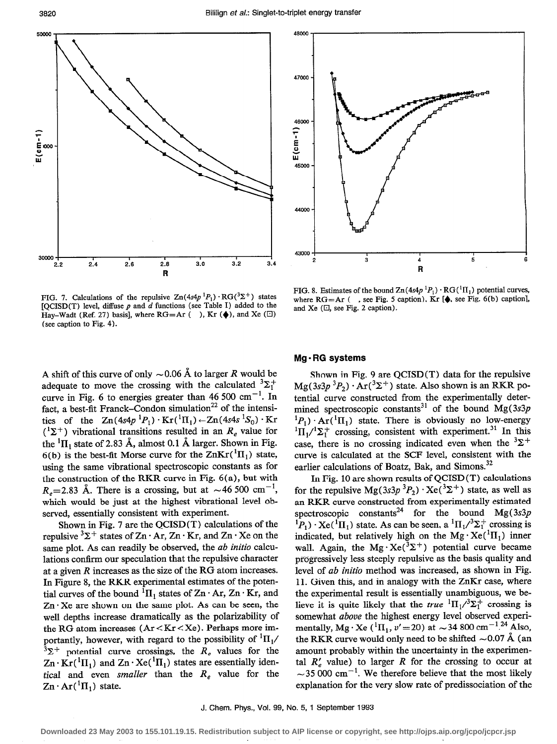

48000 47000 46000  $E(cm-1)$ 45000 44000 43000  $\overline{c}$ 3 4 5 R

FIG. 7. Calculations of the repulsive  $\text{Zn}(4s4p ^1P_1) \cdot \text{RG}(3\Sigma^+)$  states [QCISD(T) level, diffuse  $p$  and  $d$  functions (see Table I) added to the Hay-Wadt (Ref. 27) basis], where  $RG=Ar$  ( ), Kr  $(\triangleleft)$ , and Xe  $(\square)$ (see caption to Fig. 4).

A shift of this curve of only  $\sim 0.06$  Å to larger R would be adequate to move the crossing with the calculated  ${}^{3}\Sigma_{1}^{+}$ curve in Fig. 6 to energies greater than 46 500 cm<sup>-1</sup>. In fact, a best-fit Franck-Condon simulation<sup>22</sup> of the intensities of the  $Zn(4s4p<sup>1</sup>P<sub>1</sub>) \cdot Kr(<sup>1</sup>H<sub>1</sub>) \leftarrow Zn(4s4s<sup>1</sup>S<sub>0</sub>) \cdot Kr$  $({}^{1}\Sigma^{+})$  vibrational transitions resulted in an  $R_e$  value for the  ${}^{1}\Pi_{1}$  state of 2.83 Å, almost 0.1 Å larger. Shown in Fig. 6(b) is the best-fit Morse curve for the  $\text{ZnKr}(^1\Pi_1)$  state, using the same vibrational spectroscopic constants as for the construction of the RKR curve in Fig. 6(a), but with  $R<sub>a</sub>=2.83$  Å. There is a crossing, but at  $\sim$  46 500 cm<sup>-1</sup>, which would be just at the highest vibrational level observed, essentially consistent with experiment.

Shown in Fig. 7 are the QCISD(T) calculations of the repulsive  ${}^{3}\Sigma^{+}$  states of Zn  $\cdot$  Ar, Zn  $\cdot$  Kr, and Zn  $\cdot$  Xe on the same plot. As can readily be observed, the *ab initio* calculations confirm our speculation that the repulsive character at a given R increases as the size of the RG atom increases. In Figure 8, the RKR experimental estimates of the potential curves of the bound  ${}^{1}$ II<sub>1</sub> states of Zn  $\cdot$  Ar, Zn  $\cdot$  Kr, and  $Zn \cdot Xe$  are shown on the same plot. As can be seen, the well depths increase dramatically as the polarizability of the RG atom increases (Ar < Kr < Xe) . Perhaps more importantly, however, with regard to the possibility of  ${}^{1}$ II<sub>1</sub>/  $3\Sigma^+$  potential curve crossings, the  $R_e$  values for the  $\text{Zn} \cdot \text{Kr}({}^{1}\text{II}_{1})$  and  $\text{Zn} \cdot \text{Xe}({}^{1}\text{II}_{1})$  states are essentially identical and even smaller than the  $R_e$  value for the  $Zn \cdot Ar({}^{1}\Pi_{1})$  state.

FIG. 8. Estimates of the bound  $\text{Zn}(4s4p \,^1P_1) \cdot \text{RG}(^1\Pi_1)$  potential curves, where  $RG=Ar$  ( , see Fig. 5 caption),  $Kr$  [ $\spadesuit$ , see Fig. 6(b) caption], and Xe  $(\square)$ , see Fig. 2 caption).

# Mg - RG systems

Shown in Fig. 9 are QCISD(T) data for the repulsive  $Mg(3s3p^3P_2) \cdot Ar(^3\Sigma^+)$  state. Also shown is an RKR potential curve constructed from the experimentally determined spectroscopic constants<sup>31</sup> of the bound Mg(3s3p)  ${}^{1}P_{1}$ )  $\cdot$  Ar( ${}^{1}$ II<sub>1</sub>) state. There is obviously no low-energy  ${}^{1}\Pi_{1}/{}^{1}\Sigma_{1}^{+}$  crossing, consistent with experiment.<sup>31</sup> In this case, there is no crossing indicated even when the  ${}^{3}\Sigma^{+}$ curve is calculated at the SCF level, consistent with the earlier calculations of Boatz, Bak, and Simons.<sup>32</sup>

In Fig. 10 are shown results of QCISD (T) calculations for the repulsive  $Mg(3s3p^3P_2) \cdot Xe^{3\Sigma^+}$  state, as well as an RKR curve constructed from experimentally estimated spectroscopic constants<sup>24</sup> for the bound Mg(3s3p)  ${}^{1}P_{1}$ )  $\cdot$  Xe( ${}^{1}$ II<sub>1</sub>) state. As can be seen, a  ${}^{1}$ II<sub>1</sub>/ ${}^{3}\Sigma_{1}^{+}$  crossing is indicated, but relatively high on the  $Mg \cdot Xe^{T} \Pi_1$ ) inner wall. Again, the Mg·Xe( ${}^{3}\Sigma^{+}$ ) potential curve became progressively less steeply repulsive as the basis quality and level of ab initio method was increased, as shown in Fig. 11. Given this, and in analogy with the ZnKr case, where the experimental result is essentially unambiguous, we believe it is quite likely that the *true*  ${}^{1} \Pi_{1}/{}^{3}\Sigma_{1}^{+}$  crossing is somewhat above the highest energy level observed experimentally, Mg·Xe ( ${}^{1}\Pi_{1}$ ,  $v'$  = 20) at  $\sim$  34 800 cm<sup>-1.24</sup> Also, the RKR curve would only need to be shifted  $\sim$  0.07 Å (an amount probably within the uncertainty in the experimental  $R'$ , value) to larger R for the crossing to occur at  $\sim$  35 000 cm<sup>-1</sup>. We therefore believe that the most likely explanation for the very slow rate of predissociation of the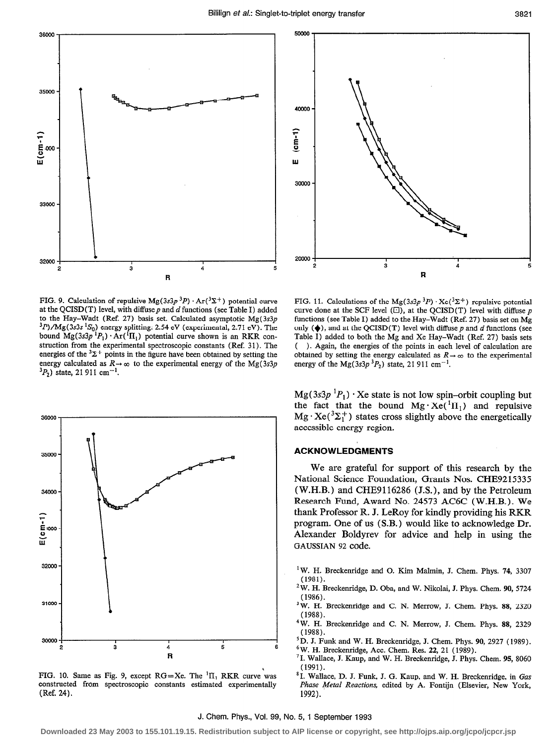

FIG. 9. Calculation of repulsive  $Mg(3s3p^3P) \cdot Ar(^3\Sigma^+)$  potential curve at the QCISD(T) level, with diffuse  $p$  and  $d$  functions (see Table I) added to the Hay-Wadt (Ref. 27) basis set. Calculated asymptotic  $Mg(3s3p)$  $^{3}P$ /Mg(3s3s  $^{1}S_{0}$ ) energy splitting: 2.54 eV (experimental, 2.71 eV). The bound  $Mg(3s3p^1P_1) \cdot Ar(^1\Pi_1)$  potential curve shown is an RKR construction from the experimental spectroscopic constants (Ref. 31). The energies of the  ${}^{3}\Sigma^{+}$  points in the figure have been obtained by setting the energy calculated as  $R \rightarrow \infty$  to the experimental energy of the Mg(3s3p  $3P_2$ ) state, 21 911 cm<sup>-1</sup>.



FIG. 10. Same as Fig. 9, except RG=Xe. The  ${}^{1}$ II<sub>1</sub> RKR curve was constructed from spectroscopic constants estimated experimentally (Ref. 24).



FIG. 11. Calculations of the Mg(3s3p  $3P$ )  $\cdot$  Xe( $3\Sigma$ <sup>+</sup>) repulsive potential curve done at the SCF level  $(\Box)$ , at the OCISD(T) level with diffuse p functions (see Table I) added to the Hay-Wadt (Ref. 27) basis set on Mg only  $(\blacklozenge)$ , and at the QCISD(T) level with diffuse p and d functions (see Table I) added to both the Mg and Xe Hay-Wadt (Ref. 27) basis sets ( ). Again, the energies of the points in each level of calculation are obtained by setting the energy calculated as  $R \rightarrow \infty$  to the experimental energy of the Mg $(3s3p^{3}P_{2})$  state, 21 911 cm<sup>-1</sup>.

 $Mg(3s3p<sup>1</sup>P<sub>1</sub>) \cdot Xe$  state is not low spin-orbit coupling but the fact that the bound  $Mg \cdot Xe^{T}(\Pi_1)$  and repulsive  $Mg \cdot Xe^{3\Sigma_{1}^{+}}$  states cross slightly above the energetically accessible energy region.

# ACKNOWLEDGMENTS

We are grateful for support of this research by the National Science Foundation, Grants Nos. CHE92 15335 (W.H.B.) and CHE9116286 (J.S.), and by the Petroleum Research Fund, Award No. 24573 ACGC (W.H.B.). We thank Professor R. J. LeRoy for kindly providing his RKR program. One of us (S.B.) would like to acknowledge Dr. Alexander Boldyrev for advice and help in using the GAUSSIAN 92 code.

- <sup>1</sup>W. H. Breckenridge and O. Kim Malmin, J. Chem. Phys. 74, 3307 (1981).
- $2$ W. H. Breckenridge, D. Oba, and W. Nikolai, J. Phys. Chem. 90, 5724 (1986).
- <sup>3</sup>W. H. Breckenridge and C. N. Merrow, J. Chem. Phys. 88, 2320 (1988).
- 4W. H. Breckenridge and C. N. Merrow, J. Chem. Phys. 88, 2329 (1988).
- 5D. J. Funk and W. H. Breckenridge, J. Chem. Phys. 90, 2927 (1989).  $6$ W. H. Breckenridge, Acc. Chem. Res. 22, 21 (1989).
- <sup>7</sup> I. Wallace, J. Kaup, and W. H. Breckenridge, J. Phys. Chem. 95, 8060 (1991).
- <sup>8</sup> I. Wallace, D. J. Funk, J. G. Kaup, and W. H. Breckenridge, in Gas Phase Metal Reactions, edited by A. Fontijn (Elsevier, New York, 1992).

#### J. Chem. Phys., Vol. 99, No. 5, 1 September 1993

**Downloaded 23 May 2003 to 155.101.19.15. Redistribution subject to AIP license or copyright, see http://ojps.aip.org/jcpo/jcpcr.jsp**